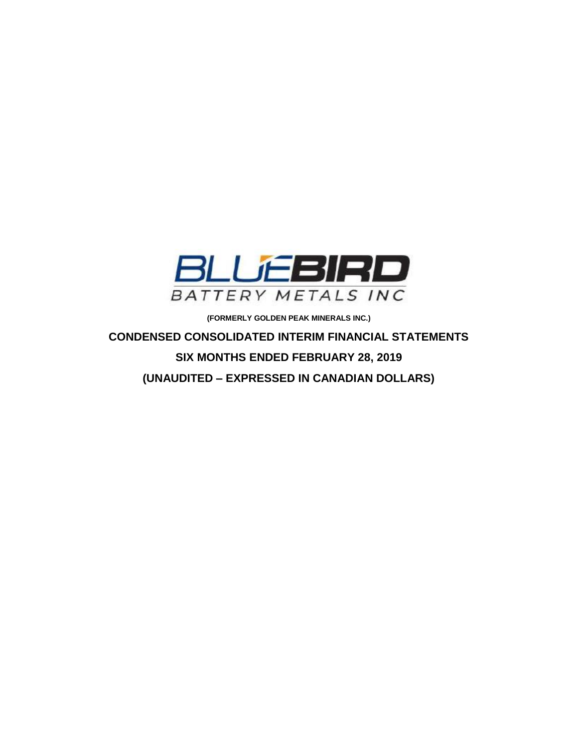

**(FORMERLY GOLDEN PEAK MINERALS INC.)**

**CONDENSED CONSOLIDATED INTERIM FINANCIAL STATEMENTS SIX MONTHS ENDED FEBRUARY 28, 2019 (UNAUDITED – EXPRESSED IN CANADIAN DOLLARS)**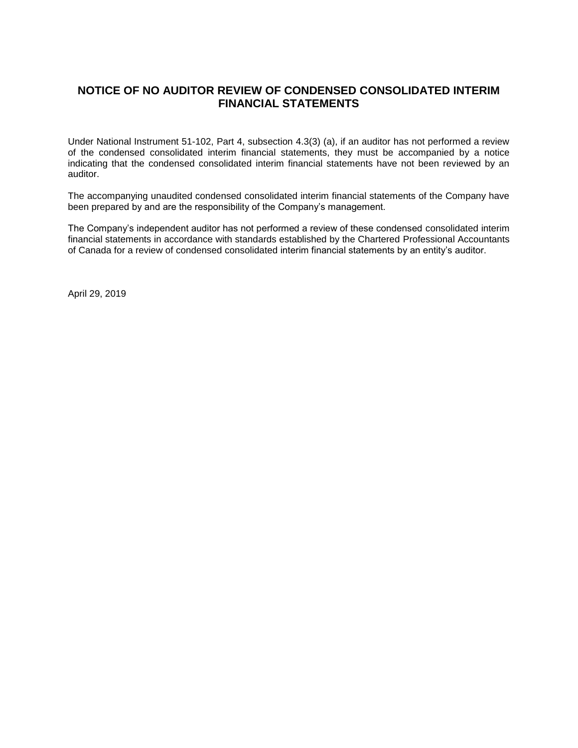# **NOTICE OF NO AUDITOR REVIEW OF CONDENSED CONSOLIDATED INTERIM FINANCIAL STATEMENTS**

Under National Instrument 51-102, Part 4, subsection 4.3(3) (a), if an auditor has not performed a review of the condensed consolidated interim financial statements, they must be accompanied by a notice indicating that the condensed consolidated interim financial statements have not been reviewed by an auditor.

The accompanying unaudited condensed consolidated interim financial statements of the Company have been prepared by and are the responsibility of the Company's management.

The Company's independent auditor has not performed a review of these condensed consolidated interim financial statements in accordance with standards established by the Chartered Professional Accountants of Canada for a review of condensed consolidated interim financial statements by an entity's auditor.

April 29, 2019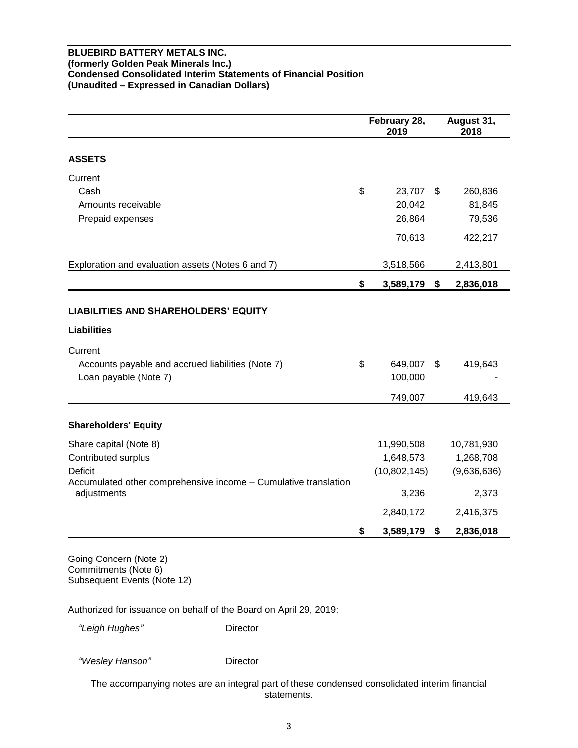#### **BLUEBIRD BATTERY METALS INC. (formerly Golden Peak Minerals Inc.) Condensed Consolidated Interim Statements of Financial Position (Unaudited – Expressed in Canadian Dollars)**

|                                                                                                                                   |                | February 28,<br>2019 |                | August 31,<br>2018 |
|-----------------------------------------------------------------------------------------------------------------------------------|----------------|----------------------|----------------|--------------------|
| <b>ASSETS</b>                                                                                                                     |                |                      |                |                    |
| Current                                                                                                                           |                |                      |                |                    |
| Cash                                                                                                                              | $\mathfrak{S}$ | 23,707               | \$.            | 260,836            |
| Amounts receivable                                                                                                                |                | 20,042               |                | 81,845             |
| Prepaid expenses                                                                                                                  |                | 26,864               |                | 79,536             |
|                                                                                                                                   |                | 70,613               |                | 422,217            |
| Exploration and evaluation assets (Notes 6 and 7)                                                                                 |                | 3,518,566            |                | 2,413,801          |
|                                                                                                                                   | \$             | 3,589,179            | \$             | 2,836,018          |
| <b>LIABILITIES AND SHAREHOLDERS' EQUITY</b><br><b>Liabilities</b><br>Current<br>Accounts payable and accrued liabilities (Note 7) | \$             | 649,007              | $\mathfrak{S}$ | 419,643            |
| Loan payable (Note 7)                                                                                                             |                | 100,000              |                |                    |
|                                                                                                                                   |                | 749,007              |                | 419,643            |
| <b>Shareholders' Equity</b>                                                                                                       |                |                      |                |                    |
| Share capital (Note 8)                                                                                                            |                | 11,990,508           |                | 10,781,930         |
| Contributed surplus                                                                                                               |                | 1,648,573            |                | 1,268,708          |
| <b>Deficit</b>                                                                                                                    |                | (10,802,145)         |                | (9,636,636)        |
| Accumulated other comprehensive income - Cumulative translation<br>adjustments                                                    |                | 3,236                |                | 2,373              |
|                                                                                                                                   |                | 2,840,172            |                | 2,416,375          |
|                                                                                                                                   | \$             | 3,589,179            | \$             | 2,836,018          |

Going Concern (Note 2) Commitments (Note 6) Subsequent Events (Note 12)

Authorized for issuance on behalf of the Board on April 29, 2019:

 *"Leigh Hughes"* Director

 *"Wesley Hanson"* Director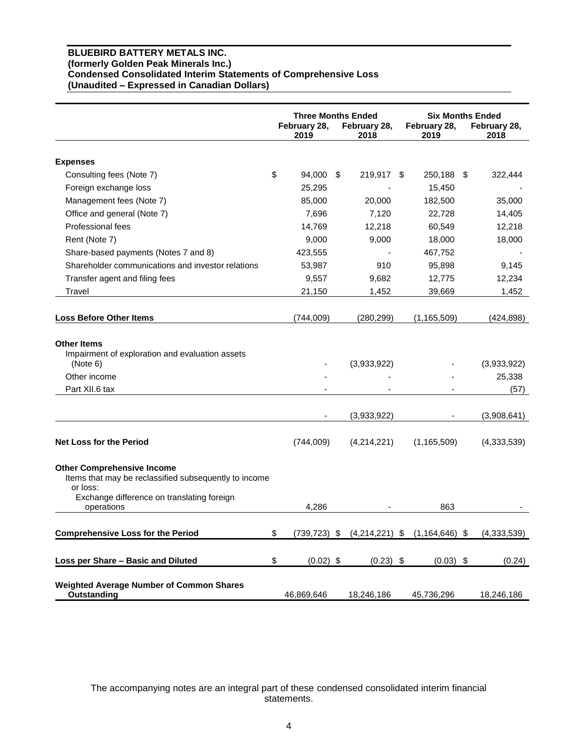#### **BLUEBIRD BATTERY METALS INC. (formerly Golden Peak Minerals Inc.) Condensed Consolidated Interim Statements of Comprehensive Loss (Unaudited – Expressed in Canadian Dollars)**

|                                                                                                                     | <b>Three Months Ended</b> |  | <b>Six Months Ended</b> |                      |  |                               |
|---------------------------------------------------------------------------------------------------------------------|---------------------------|--|-------------------------|----------------------|--|-------------------------------|
|                                                                                                                     | February 28,<br>2019      |  | February 28,<br>2018    | February 28,<br>2019 |  | February 28,<br>2018          |
| <b>Expenses</b>                                                                                                     |                           |  |                         |                      |  |                               |
| Consulting fees (Note 7)                                                                                            | \$<br>94,000 \$           |  | 219,917 \$              | 250,188 \$           |  | 322,444                       |
| Foreign exchange loss                                                                                               | 25,295                    |  |                         | 15,450               |  |                               |
| Management fees (Note 7)                                                                                            | 85,000                    |  | 20,000                  | 182,500              |  | 35,000                        |
| Office and general (Note 7)                                                                                         | 7,696                     |  | 7,120                   | 22,728               |  | 14,405                        |
| Professional fees                                                                                                   | 14,769                    |  | 12,218                  | 60,549               |  | 12,218                        |
| Rent (Note 7)                                                                                                       | 9.000                     |  | 9,000                   | 18,000               |  | 18,000                        |
| Share-based payments (Notes 7 and 8)                                                                                | 423,555                   |  |                         | 467,752              |  |                               |
| Shareholder communications and investor relations                                                                   | 53,987                    |  | 910                     | 95,898               |  | 9,145                         |
| Transfer agent and filing fees                                                                                      | 9,557                     |  | 9,682                   | 12,775               |  | 12,234                        |
| Travel                                                                                                              | 21,150                    |  | 1,452                   | 39,669               |  | 1,452                         |
| <b>Loss Before Other Items</b>                                                                                      | (744,009)                 |  | (280, 299)              | (1, 165, 509)        |  | (424, 898)                    |
| <b>Other Items</b><br>Impairment of exploration and evaluation assets<br>(Note 6)<br>Other income<br>Part XII.6 tax |                           |  | (3,933,922)             |                      |  | (3,933,922)<br>25,338<br>(57) |
|                                                                                                                     |                           |  | (3,933,922)             |                      |  | (3,908,641)                   |
| <b>Net Loss for the Period</b>                                                                                      | (744,009)                 |  | (4,214,221)             | (1, 165, 509)        |  | (4, 333, 539)                 |
| <b>Other Comprehensive Income</b><br>Items that may be reclassified subsequently to income<br>or loss:              |                           |  |                         |                      |  |                               |
| Exchange difference on translating foreign<br>operations                                                            | 4,286                     |  |                         | 863                  |  |                               |
| <b>Comprehensive Loss for the Period</b>                                                                            | \$<br>$(739, 723)$ \$     |  | $(4,214,221)$ \$        | $(1, 164, 646)$ \$   |  | (4, 333, 539)                 |
| Loss per Share - Basic and Diluted                                                                                  | \$<br>$(0.02)$ \$         |  | $(0.23)$ \$             | $(0.03)$ \$          |  | (0.24)                        |
| <b>Weighted Average Number of Common Shares</b><br>Outstanding                                                      | 46,869,646                |  | 18,246,186              | 45,736,296           |  | 18,246,186                    |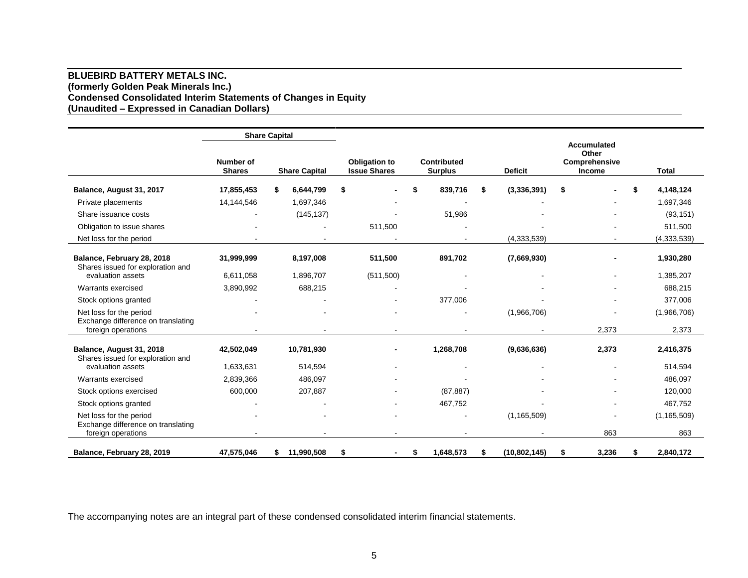#### **BLUEBIRD BATTERY METALS INC. (formerly Golden Peak Minerals Inc.) Condensed Consolidated Interim Statements of Changes in Equity (Unaudited – Expressed in Canadian Dollars)**

|                                                                 |                            | <b>Share Capital</b> |                                             |                               |                     |                                                        |                 |  |
|-----------------------------------------------------------------|----------------------------|----------------------|---------------------------------------------|-------------------------------|---------------------|--------------------------------------------------------|-----------------|--|
|                                                                 | Number of<br><b>Shares</b> | <b>Share Capital</b> | <b>Obligation to</b><br><b>Issue Shares</b> | Contributed<br><b>Surplus</b> | <b>Deficit</b>      | <b>Accumulated</b><br>Other<br>Comprehensive<br>Income | <b>Total</b>    |  |
| Balance, August 31, 2017                                        | 17,855,453                 | \$<br>6,644,799      | \$                                          | 839,716<br>\$                 | (3,336,391)<br>S    | \$                                                     | \$<br>4,148,124 |  |
| Private placements                                              | 14,144,546                 | 1,697,346            | $\blacksquare$                              |                               |                     |                                                        | 1,697,346       |  |
| Share issuance costs                                            |                            | (145, 137)           |                                             | 51,986                        |                     |                                                        | (93, 151)       |  |
| Obligation to issue shares                                      |                            |                      | 511,500                                     |                               |                     |                                                        | 511,500         |  |
| Net loss for the period                                         |                            |                      |                                             |                               | (4,333,539)         |                                                        | (4, 333, 539)   |  |
| Balance, February 28, 2018<br>Shares issued for exploration and | 31,999,999                 | 8,197,008            | 511,500                                     | 891,702                       | (7,669,930)         |                                                        | 1,930,280       |  |
| evaluation assets                                               | 6,611,058                  | 1,896,707            | (511,500)                                   |                               |                     | $\blacksquare$                                         | 1,385,207       |  |
| Warrants exercised                                              | 3,890,992                  | 688,215              | $\blacksquare$                              |                               |                     |                                                        | 688,215         |  |
| Stock options granted                                           |                            |                      |                                             | 377,006                       |                     |                                                        | 377,006         |  |
| Net loss for the period<br>Exchange difference on translating   |                            |                      |                                             |                               | (1,966,706)         |                                                        | (1,966,706)     |  |
| foreign operations                                              |                            |                      |                                             |                               |                     | 2,373                                                  | 2,373           |  |
| Balance, August 31, 2018<br>Shares issued for exploration and   | 42,502,049                 | 10,781,930           | $\blacksquare$                              | 1,268,708                     | (9,636,636)         | 2,373                                                  | 2,416,375       |  |
| evaluation assets                                               | 1,633,631                  | 514,594              | $\blacksquare$                              |                               |                     |                                                        | 514,594         |  |
| Warrants exercised                                              | 2,839,366                  | 486,097              |                                             |                               |                     |                                                        | 486,097         |  |
| Stock options exercised                                         | 600,000                    | 207,887              |                                             | (87, 887)                     |                     |                                                        | 120,000         |  |
| Stock options granted                                           |                            |                      |                                             | 467,752                       |                     |                                                        | 467,752         |  |
| Net loss for the period<br>Exchange difference on translating   |                            |                      |                                             |                               | (1, 165, 509)       |                                                        | (1, 165, 509)   |  |
| foreign operations                                              |                            |                      |                                             |                               |                     | 863                                                    | 863             |  |
| Balance, February 28, 2019                                      | 47,575,046                 | 11,990,508<br>\$     | \$                                          | 1,648,573<br>S                | (10, 802, 145)<br>S | 3,236<br>\$                                            | 2,840,172<br>\$ |  |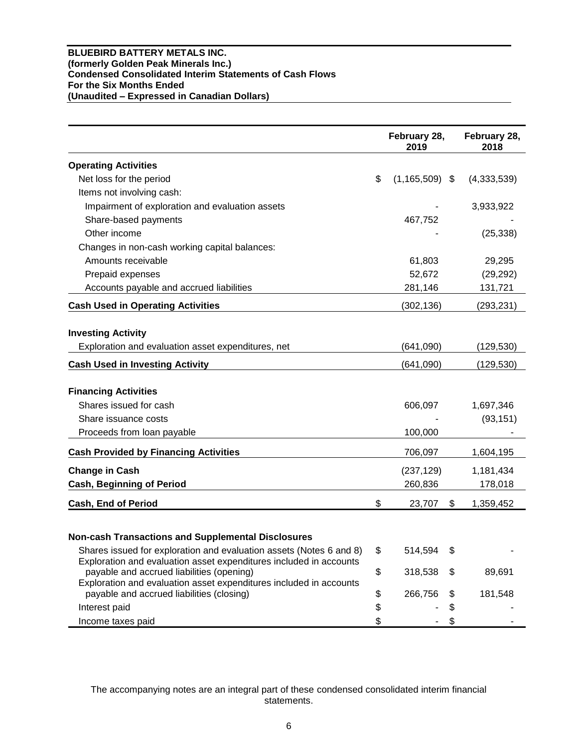#### **BLUEBIRD BATTERY METALS INC. (formerly Golden Peak Minerals Inc.) Condensed Consolidated Interim Statements of Cash Flows For the Six Months Ended (Unaudited – Expressed in Canadian Dollars)**

|                                                                                                                                           | February 28,<br>2019     | February 28,<br>2018 |
|-------------------------------------------------------------------------------------------------------------------------------------------|--------------------------|----------------------|
| <b>Operating Activities</b>                                                                                                               |                          |                      |
| Net loss for the period                                                                                                                   | \$<br>$(1, 165, 509)$ \$ | (4,333,539)          |
| Items not involving cash:                                                                                                                 |                          |                      |
| Impairment of exploration and evaluation assets                                                                                           |                          | 3,933,922            |
| Share-based payments                                                                                                                      | 467,752                  |                      |
| Other income                                                                                                                              |                          | (25, 338)            |
| Changes in non-cash working capital balances:                                                                                             |                          |                      |
| Amounts receivable                                                                                                                        | 61,803                   | 29,295               |
| Prepaid expenses                                                                                                                          | 52,672                   | (29, 292)            |
| Accounts payable and accrued liabilities                                                                                                  | 281,146                  | 131,721              |
| <b>Cash Used in Operating Activities</b>                                                                                                  | (302, 136)               | (293, 231)           |
| <b>Investing Activity</b>                                                                                                                 |                          |                      |
| Exploration and evaluation asset expenditures, net                                                                                        | (641,090)                | (129,530)            |
| <b>Cash Used in Investing Activity</b>                                                                                                    | (641,090)                | (129, 530)           |
|                                                                                                                                           |                          |                      |
| <b>Financing Activities</b><br>Shares issued for cash                                                                                     |                          |                      |
|                                                                                                                                           | 606,097                  | 1,697,346            |
| Share issuance costs                                                                                                                      |                          | (93, 151)            |
| Proceeds from loan payable                                                                                                                | 100,000                  |                      |
| <b>Cash Provided by Financing Activities</b>                                                                                              | 706,097                  | 1,604,195            |
| <b>Change in Cash</b>                                                                                                                     | (237, 129)               | 1,181,434            |
| <b>Cash, Beginning of Period</b>                                                                                                          | 260,836                  | 178,018              |
| <b>Cash, End of Period</b>                                                                                                                | \$<br>23,707<br>\$       | 1,359,452            |
|                                                                                                                                           |                          |                      |
| <b>Non-cash Transactions and Supplemental Disclosures</b>                                                                                 |                          |                      |
| Shares issued for exploration and evaluation assets (Notes 6 and 8)<br>Exploration and evaluation asset expenditures included in accounts | \$<br>514,594<br>\$      |                      |
| payable and accrued liabilities (opening)<br>Exploration and evaluation asset expenditures included in accounts                           | \$<br>318,538<br>\$      | 89,691               |
| payable and accrued liabilities (closing)                                                                                                 | \$<br>266,756<br>\$      | 181,548              |
| Interest paid                                                                                                                             | \$<br>\$                 |                      |
| Income taxes paid                                                                                                                         | \$<br>\$                 |                      |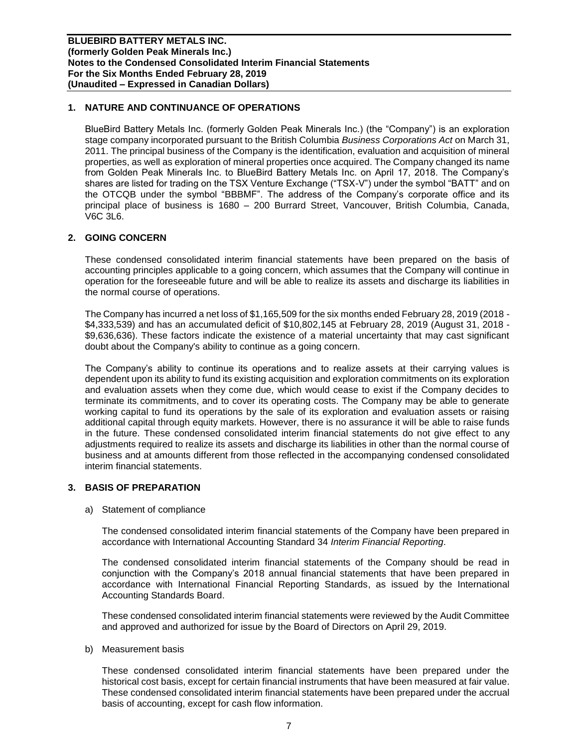## **1. NATURE AND CONTINUANCE OF OPERATIONS**

BlueBird Battery Metals Inc. (formerly Golden Peak Minerals Inc.) (the "Company") is an exploration stage company incorporated pursuant to the British Columbia *Business Corporations Act* on March 31, 2011. The principal business of the Company is the identification, evaluation and acquisition of mineral properties, as well as exploration of mineral properties once acquired. The Company changed its name from Golden Peak Minerals Inc. to BlueBird Battery Metals Inc. on April 17, 2018. The Company's shares are listed for trading on the TSX Venture Exchange ("TSX-V") under the symbol "BATT" and on the OTCQB under the symbol "BBBMF". The address of the Company's corporate office and its principal place of business is 1680 – 200 Burrard Street, Vancouver, British Columbia, Canada, V6C 3L6.

#### **2. GOING CONCERN**

These condensed consolidated interim financial statements have been prepared on the basis of accounting principles applicable to a going concern, which assumes that the Company will continue in operation for the foreseeable future and will be able to realize its assets and discharge its liabilities in the normal course of operations.

The Company has incurred a net loss of \$1,165,509 for the six months ended February 28, 2019 (2018 - \$4,333,539) and has an accumulated deficit of \$10,802,145 at February 28, 2019 (August 31, 2018 - \$9,636,636). These factors indicate the existence of a material uncertainty that may cast significant doubt about the Company's ability to continue as a going concern.

The Company's ability to continue its operations and to realize assets at their carrying values is dependent upon its ability to fund its existing acquisition and exploration commitments on its exploration and evaluation assets when they come due, which would cease to exist if the Company decides to terminate its commitments, and to cover its operating costs. The Company may be able to generate working capital to fund its operations by the sale of its exploration and evaluation assets or raising additional capital through equity markets. However, there is no assurance it will be able to raise funds in the future. These condensed consolidated interim financial statements do not give effect to any adjustments required to realize its assets and discharge its liabilities in other than the normal course of business and at amounts different from those reflected in the accompanying condensed consolidated interim financial statements.

#### **3. BASIS OF PREPARATION**

a) Statement of compliance

The condensed consolidated interim financial statements of the Company have been prepared in accordance with International Accounting Standard 34 *Interim Financial Reporting*.

The condensed consolidated interim financial statements of the Company should be read in conjunction with the Company's 2018 annual financial statements that have been prepared in accordance with International Financial Reporting Standards, as issued by the International Accounting Standards Board.

These condensed consolidated interim financial statements were reviewed by the Audit Committee and approved and authorized for issue by the Board of Directors on April 29, 2019.

b) Measurement basis

These condensed consolidated interim financial statements have been prepared under the historical cost basis, except for certain financial instruments that have been measured at fair value. These condensed consolidated interim financial statements have been prepared under the accrual basis of accounting, except for cash flow information.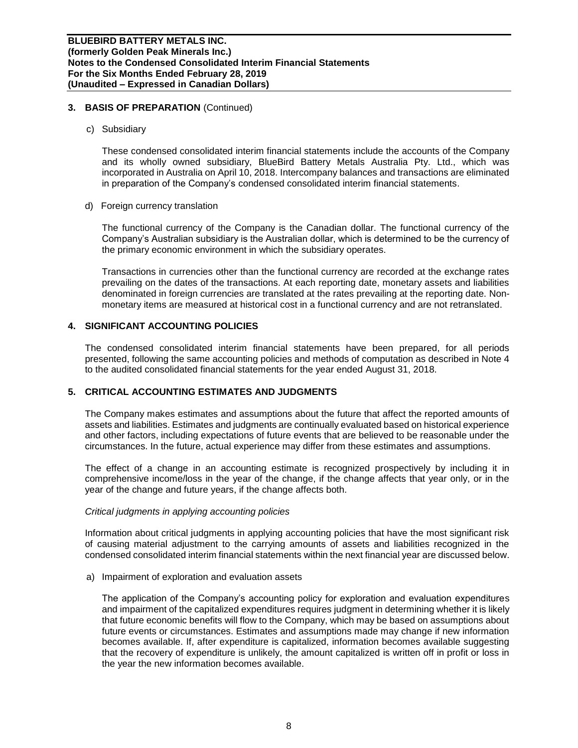#### **3. BASIS OF PREPARATION** (Continued)

c) Subsidiary

These condensed consolidated interim financial statements include the accounts of the Company and its wholly owned subsidiary, BlueBird Battery Metals Australia Pty. Ltd., which was incorporated in Australia on April 10, 2018. Intercompany balances and transactions are eliminated in preparation of the Company's condensed consolidated interim financial statements.

d) Foreign currency translation

The functional currency of the Company is the Canadian dollar. The functional currency of the Company's Australian subsidiary is the Australian dollar, which is determined to be the currency of the primary economic environment in which the subsidiary operates.

Transactions in currencies other than the functional currency are recorded at the exchange rates prevailing on the dates of the transactions. At each reporting date, monetary assets and liabilities denominated in foreign currencies are translated at the rates prevailing at the reporting date. Nonmonetary items are measured at historical cost in a functional currency and are not retranslated.

## **4. SIGNIFICANT ACCOUNTING POLICIES**

The condensed consolidated interim financial statements have been prepared, for all periods presented, following the same accounting policies and methods of computation as described in Note 4 to the audited consolidated financial statements for the year ended August 31, 2018.

## **5. CRITICAL ACCOUNTING ESTIMATES AND JUDGMENTS**

The Company makes estimates and assumptions about the future that affect the reported amounts of assets and liabilities. Estimates and judgments are continually evaluated based on historical experience and other factors, including expectations of future events that are believed to be reasonable under the circumstances. In the future, actual experience may differ from these estimates and assumptions.

The effect of a change in an accounting estimate is recognized prospectively by including it in comprehensive income/loss in the year of the change, if the change affects that year only, or in the year of the change and future years, if the change affects both.

#### *Critical judgments in applying accounting policies*

Information about critical judgments in applying accounting policies that have the most significant risk of causing material adjustment to the carrying amounts of assets and liabilities recognized in the condensed consolidated interim financial statements within the next financial year are discussed below.

a) Impairment of exploration and evaluation assets

The application of the Company's accounting policy for exploration and evaluation expenditures and impairment of the capitalized expenditures requires judgment in determining whether it is likely that future economic benefits will flow to the Company, which may be based on assumptions about future events or circumstances. Estimates and assumptions made may change if new information becomes available. If, after expenditure is capitalized, information becomes available suggesting that the recovery of expenditure is unlikely, the amount capitalized is written off in profit or loss in the year the new information becomes available.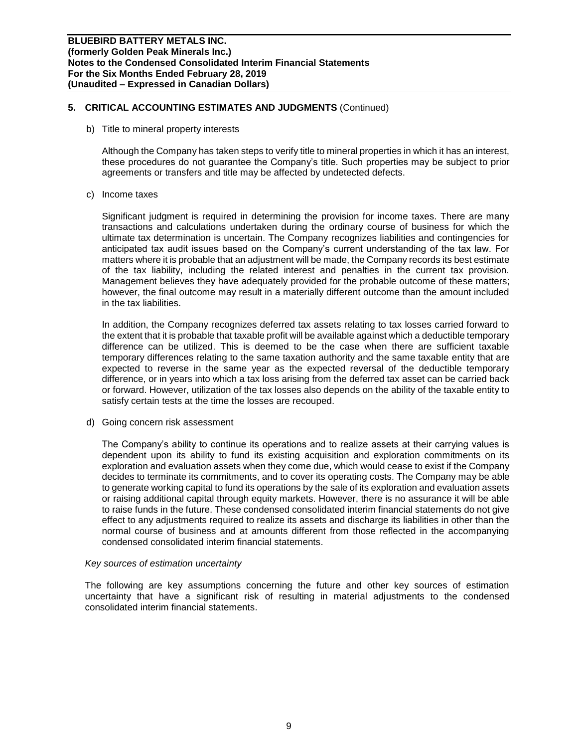## **5. CRITICAL ACCOUNTING ESTIMATES AND JUDGMENTS** (Continued)

b) Title to mineral property interests

Although the Company has taken steps to verify title to mineral properties in which it has an interest, these procedures do not guarantee the Company's title. Such properties may be subject to prior agreements or transfers and title may be affected by undetected defects.

c) Income taxes

Significant judgment is required in determining the provision for income taxes. There are many transactions and calculations undertaken during the ordinary course of business for which the ultimate tax determination is uncertain. The Company recognizes liabilities and contingencies for anticipated tax audit issues based on the Company's current understanding of the tax law. For matters where it is probable that an adjustment will be made, the Company records its best estimate of the tax liability, including the related interest and penalties in the current tax provision. Management believes they have adequately provided for the probable outcome of these matters; however, the final outcome may result in a materially different outcome than the amount included in the tax liabilities.

In addition, the Company recognizes deferred tax assets relating to tax losses carried forward to the extent that it is probable that taxable profit will be available against which a deductible temporary difference can be utilized. This is deemed to be the case when there are sufficient taxable temporary differences relating to the same taxation authority and the same taxable entity that are expected to reverse in the same year as the expected reversal of the deductible temporary difference, or in years into which a tax loss arising from the deferred tax asset can be carried back or forward. However, utilization of the tax losses also depends on the ability of the taxable entity to satisfy certain tests at the time the losses are recouped.

d) Going concern risk assessment

The Company's ability to continue its operations and to realize assets at their carrying values is dependent upon its ability to fund its existing acquisition and exploration commitments on its exploration and evaluation assets when they come due, which would cease to exist if the Company decides to terminate its commitments, and to cover its operating costs. The Company may be able to generate working capital to fund its operations by the sale of its exploration and evaluation assets or raising additional capital through equity markets. However, there is no assurance it will be able to raise funds in the future. These condensed consolidated interim financial statements do not give effect to any adjustments required to realize its assets and discharge its liabilities in other than the normal course of business and at amounts different from those reflected in the accompanying condensed consolidated interim financial statements.

#### *Key sources of estimation uncertainty*

The following are key assumptions concerning the future and other key sources of estimation uncertainty that have a significant risk of resulting in material adjustments to the condensed consolidated interim financial statements.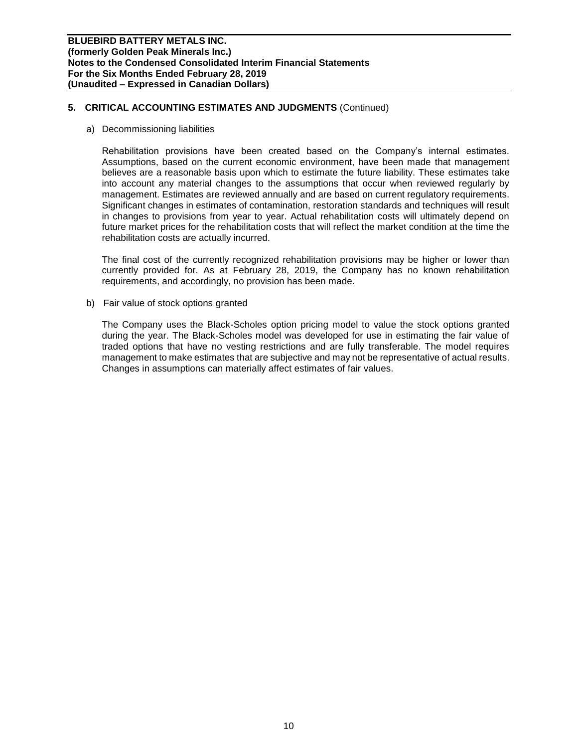## **5. CRITICAL ACCOUNTING ESTIMATES AND JUDGMENTS** (Continued)

a) Decommissioning liabilities

Rehabilitation provisions have been created based on the Company's internal estimates. Assumptions, based on the current economic environment, have been made that management believes are a reasonable basis upon which to estimate the future liability. These estimates take into account any material changes to the assumptions that occur when reviewed regularly by management. Estimates are reviewed annually and are based on current regulatory requirements. Significant changes in estimates of contamination, restoration standards and techniques will result in changes to provisions from year to year. Actual rehabilitation costs will ultimately depend on future market prices for the rehabilitation costs that will reflect the market condition at the time the rehabilitation costs are actually incurred.

The final cost of the currently recognized rehabilitation provisions may be higher or lower than currently provided for. As at February 28, 2019, the Company has no known rehabilitation requirements, and accordingly, no provision has been made.

b) Fair value of stock options granted

The Company uses the Black-Scholes option pricing model to value the stock options granted during the year. The Black-Scholes model was developed for use in estimating the fair value of traded options that have no vesting restrictions and are fully transferable. The model requires management to make estimates that are subjective and may not be representative of actual results. Changes in assumptions can materially affect estimates of fair values.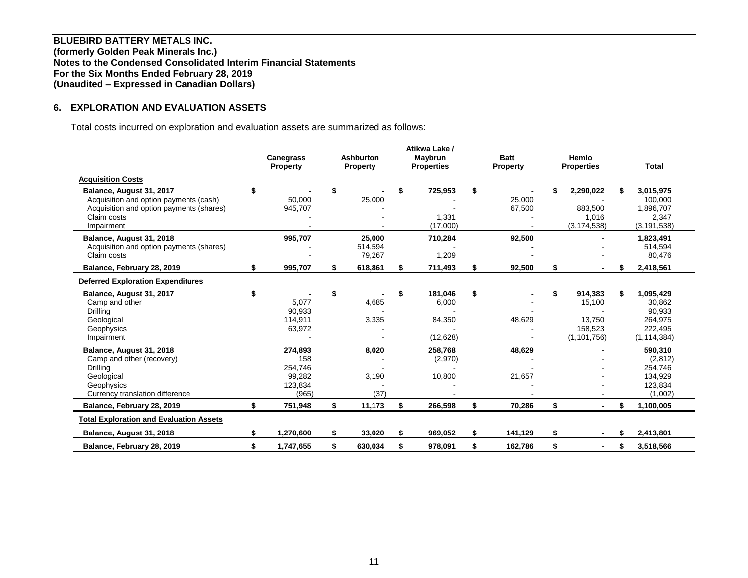**BLUEBIRD BATTERY METALS INC. (formerly Golden Peak Minerals Inc.) Notes to the Condensed Consolidated Interim Financial Statements For the Six Months Ended February 28, 2019 (Unaudited – Expressed in Canadian Dollars)**

## **6. EXPLORATION AND EVALUATION ASSETS**

Total costs incurred on exploration and evaluation assets are summarized as follows:

|                                                |                  |    |                  |    | Atikwa Lake /     |                 |                   |                 |
|------------------------------------------------|------------------|----|------------------|----|-------------------|-----------------|-------------------|-----------------|
|                                                | <b>Canegrass</b> |    | <b>Ashburton</b> |    | Maybrun           | <b>Batt</b>     | Hemlo             |                 |
|                                                | <b>Property</b>  |    | <b>Property</b>  |    | <b>Properties</b> | <b>Property</b> | <b>Properties</b> | <b>Total</b>    |
| <b>Acquisition Costs</b>                       |                  |    |                  |    |                   |                 |                   |                 |
| Balance, August 31, 2017                       | \$               | \$ |                  | S  | 725,953           | \$              | 2,290,022         | 3,015,975       |
| Acquisition and option payments (cash)         | 50,000           |    | 25,000           |    |                   | 25,000          |                   | 100,000         |
| Acquisition and option payments (shares)       | 945,707          |    |                  |    |                   | 67,500          | 883,500           | 1,896,707       |
| Claim costs                                    |                  |    |                  |    | 1,331             |                 | 1,016             | 2,347           |
| Impairment                                     |                  |    |                  |    | (17,000)          |                 | (3, 174, 538)     | (3, 191, 538)   |
| Balance, August 31, 2018                       | 995,707          |    | 25,000           |    | 710,284           | 92,500          |                   | 1,823,491       |
| Acquisition and option payments (shares)       |                  |    | 514,594          |    |                   |                 |                   | 514,594         |
| Claim costs                                    |                  |    | 79,267           |    | 1,209             |                 |                   | 80,476          |
| Balance, February 28, 2019                     | \$<br>995,707    | \$ | 618,861          | \$ | 711,493           | \$<br>92,500    | \$                | 2,418,561       |
| <b>Deferred Exploration Expenditures</b>       |                  |    |                  |    |                   |                 |                   |                 |
| Balance, August 31, 2017                       |                  | S  |                  | \$ | 181,046           | \$              | \$<br>914,383     | \$<br>1,095,429 |
| Camp and other                                 | 5,077            |    | 4,685            |    | 6,000             |                 | 15,100            | 30,862          |
| Drilling                                       | 90,933           |    |                  |    |                   |                 |                   | 90,933          |
| Geological                                     | 114,911          |    | 3,335            |    | 84,350            | 48,629          | 13,750            | 264,975         |
| Geophysics                                     | 63,972           |    |                  |    |                   |                 | 158,523           | 222,495         |
| Impairment                                     |                  |    |                  |    | (12, 628)         |                 | (1, 101, 756)     | (1, 114, 384)   |
| Balance, August 31, 2018                       | 274,893          |    | 8,020            |    | 258,768           | 48,629          |                   | 590,310         |
| Camp and other (recovery)                      | 158              |    |                  |    | (2,970)           |                 |                   | (2,812)         |
| Drilling                                       | 254,746          |    |                  |    |                   |                 |                   | 254,746         |
| Geological                                     | 99,282           |    | 3,190            |    | 10,800            | 21,657          |                   | 134,929         |
| Geophysics                                     | 123,834          |    |                  |    |                   |                 |                   | 123,834         |
| Currency translation difference                | (965)            |    | (37)             |    |                   |                 |                   | (1,002)         |
| Balance, February 28, 2019                     | \$<br>751,948    | \$ | 11,173           | \$ | 266,598           | \$<br>70,286    | \$                | 1,100,005       |
| <b>Total Exploration and Evaluation Assets</b> |                  |    |                  |    |                   |                 |                   |                 |
| Balance, August 31, 2018                       | 1,270,600        | \$ | 33,020           | \$ | 969,052           | \$<br>141,129   | \$                | 2,413,801       |
| Balance, February 28, 2019                     | \$<br>1,747,655  | \$ | 630,034          | \$ | 978,091           | \$<br>162.786   | \$                | \$<br>3,518,566 |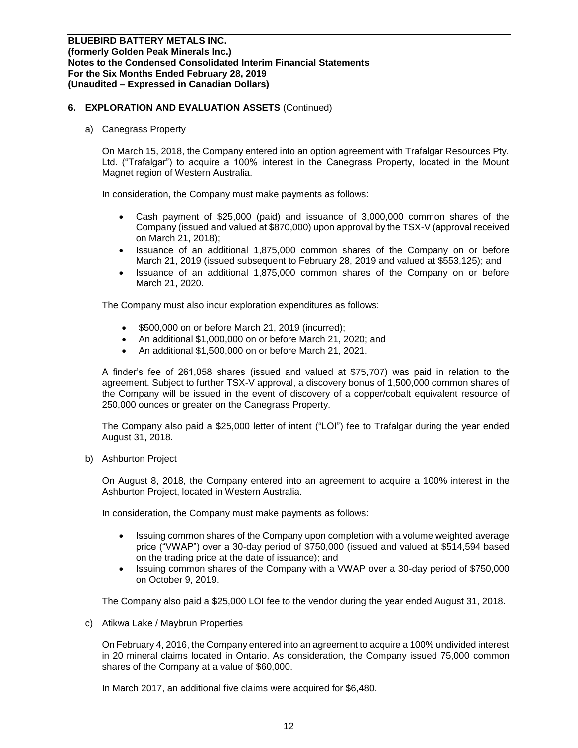a) Canegrass Property

On March 15, 2018, the Company entered into an option agreement with Trafalgar Resources Pty. Ltd. ("Trafalgar") to acquire a 100% interest in the Canegrass Property, located in the Mount Magnet region of Western Australia.

In consideration, the Company must make payments as follows:

- Cash payment of \$25,000 (paid) and issuance of 3,000,000 common shares of the Company (issued and valued at \$870,000) upon approval by the TSX-V (approval received on March 21, 2018);
- Issuance of an additional 1,875,000 common shares of the Company on or before March 21, 2019 (issued subsequent to February 28, 2019 and valued at \$553,125); and
- Issuance of an additional 1,875,000 common shares of the Company on or before March 21, 2020.

The Company must also incur exploration expenditures as follows:

- \$500,000 on or before March 21, 2019 (incurred);
- An additional \$1,000,000 on or before March 21, 2020; and
- An additional \$1,500,000 on or before March 21, 2021.

A finder's fee of 261,058 shares (issued and valued at \$75,707) was paid in relation to the agreement. Subject to further TSX-V approval, a discovery bonus of 1,500,000 common shares of the Company will be issued in the event of discovery of a copper/cobalt equivalent resource of 250,000 ounces or greater on the Canegrass Property.

The Company also paid a \$25,000 letter of intent ("LOI") fee to Trafalgar during the year ended August 31, 2018.

b) Ashburton Project

On August 8, 2018, the Company entered into an agreement to acquire a 100% interest in the Ashburton Project, located in Western Australia.

In consideration, the Company must make payments as follows:

- Issuing common shares of the Company upon completion with a volume weighted average price ("VWAP") over a 30-day period of \$750,000 (issued and valued at \$514,594 based on the trading price at the date of issuance); and
- Issuing common shares of the Company with a VWAP over a 30-day period of \$750,000 on October 9, 2019.

The Company also paid a \$25,000 LOI fee to the vendor during the year ended August 31, 2018.

c) Atikwa Lake / Maybrun Properties

On February 4, 2016, the Company entered into an agreement to acquire a 100% undivided interest in 20 mineral claims located in Ontario. As consideration, the Company issued 75,000 common shares of the Company at a value of \$60,000.

In March 2017, an additional five claims were acquired for \$6,480.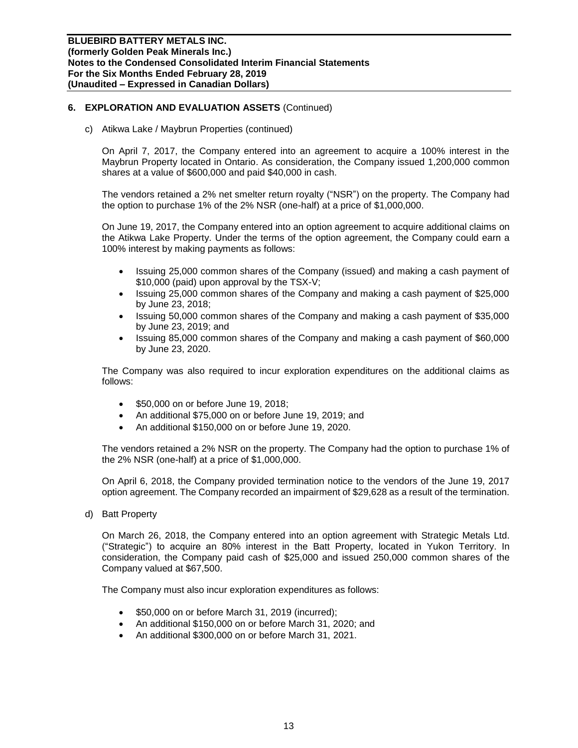c) Atikwa Lake / Maybrun Properties (continued)

On April 7, 2017, the Company entered into an agreement to acquire a 100% interest in the Maybrun Property located in Ontario. As consideration, the Company issued 1,200,000 common shares at a value of \$600,000 and paid \$40,000 in cash.

The vendors retained a 2% net smelter return royalty ("NSR") on the property. The Company had the option to purchase 1% of the 2% NSR (one-half) at a price of \$1,000,000.

On June 19, 2017, the Company entered into an option agreement to acquire additional claims on the Atikwa Lake Property. Under the terms of the option agreement, the Company could earn a 100% interest by making payments as follows:

- Issuing 25,000 common shares of the Company (issued) and making a cash payment of \$10,000 (paid) upon approval by the TSX-V;
- Issuing 25,000 common shares of the Company and making a cash payment of \$25,000 by June 23, 2018;
- Issuing 50,000 common shares of the Company and making a cash payment of \$35,000 by June 23, 2019; and
- Issuing 85,000 common shares of the Company and making a cash payment of \$60,000 by June 23, 2020.

The Company was also required to incur exploration expenditures on the additional claims as follows:

- \$50,000 on or before June 19, 2018;
- An additional \$75,000 on or before June 19, 2019; and
- An additional \$150,000 on or before June 19, 2020.

The vendors retained a 2% NSR on the property. The Company had the option to purchase 1% of the 2% NSR (one-half) at a price of \$1,000,000.

On April 6, 2018, the Company provided termination notice to the vendors of the June 19, 2017 option agreement. The Company recorded an impairment of \$29,628 as a result of the termination.

d) Batt Property

On March 26, 2018, the Company entered into an option agreement with Strategic Metals Ltd. ("Strategic") to acquire an 80% interest in the Batt Property, located in Yukon Territory. In consideration, the Company paid cash of \$25,000 and issued 250,000 common shares of the Company valued at \$67,500.

The Company must also incur exploration expenditures as follows:

- \$50,000 on or before March 31, 2019 (incurred);
- An additional \$150,000 on or before March 31, 2020; and
- An additional \$300,000 on or before March 31, 2021.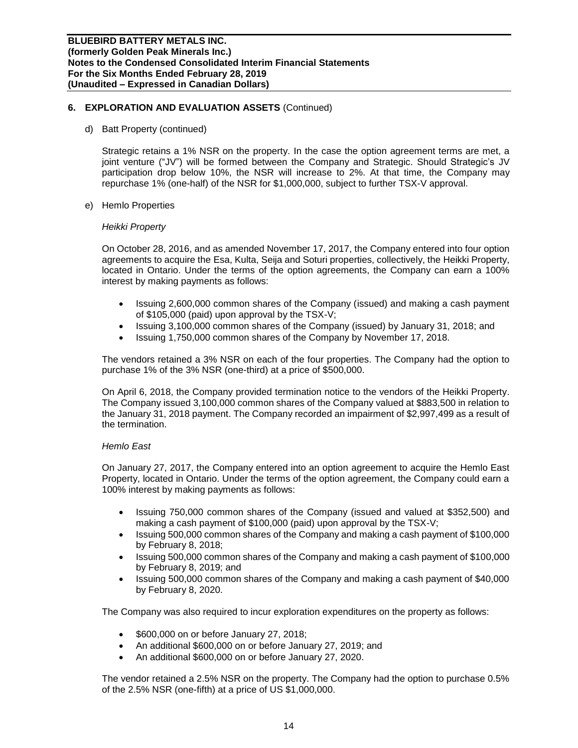d) Batt Property (continued)

Strategic retains a 1% NSR on the property. In the case the option agreement terms are met, a joint venture ("JV") will be formed between the Company and Strategic. Should Strategic's JV participation drop below 10%, the NSR will increase to 2%. At that time, the Company may repurchase 1% (one-half) of the NSR for \$1,000,000, subject to further TSX-V approval.

e) Hemlo Properties

#### *Heikki Property*

On October 28, 2016, and as amended November 17, 2017, the Company entered into four option agreements to acquire the Esa, Kulta, Seija and Soturi properties, collectively, the Heikki Property, located in Ontario. Under the terms of the option agreements, the Company can earn a 100% interest by making payments as follows:

- Issuing 2,600,000 common shares of the Company (issued) and making a cash payment of \$105,000 (paid) upon approval by the TSX-V;
- Issuing 3,100,000 common shares of the Company (issued) by January 31, 2018; and
- Issuing 1,750,000 common shares of the Company by November 17, 2018.

The vendors retained a 3% NSR on each of the four properties. The Company had the option to purchase 1% of the 3% NSR (one-third) at a price of \$500,000.

On April 6, 2018, the Company provided termination notice to the vendors of the Heikki Property. The Company issued 3,100,000 common shares of the Company valued at \$883,500 in relation to the January 31, 2018 payment. The Company recorded an impairment of \$2,997,499 as a result of the termination.

#### *Hemlo East*

On January 27, 2017, the Company entered into an option agreement to acquire the Hemlo East Property, located in Ontario. Under the terms of the option agreement, the Company could earn a 100% interest by making payments as follows:

- Issuing 750,000 common shares of the Company (issued and valued at \$352,500) and making a cash payment of \$100,000 (paid) upon approval by the TSX-V;
- Issuing 500,000 common shares of the Company and making a cash payment of \$100,000 by February 8, 2018;
- Issuing 500,000 common shares of the Company and making a cash payment of \$100,000 by February 8, 2019; and
- Issuing 500,000 common shares of the Company and making a cash payment of \$40,000 by February 8, 2020.

The Company was also required to incur exploration expenditures on the property as follows:

- \$600,000 on or before January 27, 2018;
- An additional \$600,000 on or before January 27, 2019; and
- An additional \$600,000 on or before January 27, 2020.

The vendor retained a 2.5% NSR on the property. The Company had the option to purchase 0.5% of the 2.5% NSR (one-fifth) at a price of US \$1,000,000.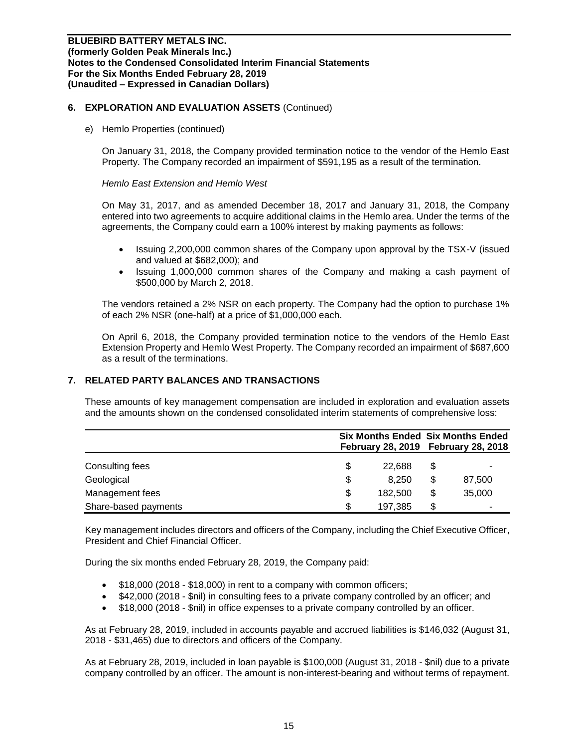e) Hemlo Properties (continued)

On January 31, 2018, the Company provided termination notice to the vendor of the Hemlo East Property. The Company recorded an impairment of \$591,195 as a result of the termination.

#### *Hemlo East Extension and Hemlo West*

On May 31, 2017, and as amended December 18, 2017 and January 31, 2018, the Company entered into two agreements to acquire additional claims in the Hemlo area. Under the terms of the agreements, the Company could earn a 100% interest by making payments as follows:

- Issuing 2,200,000 common shares of the Company upon approval by the TSX-V (issued and valued at \$682,000); and
- Issuing 1,000,000 common shares of the Company and making a cash payment of \$500,000 by March 2, 2018.

The vendors retained a 2% NSR on each property. The Company had the option to purchase 1% of each 2% NSR (one-half) at a price of \$1,000,000 each.

On April 6, 2018, the Company provided termination notice to the vendors of the Hemlo East Extension Property and Hemlo West Property. The Company recorded an impairment of \$687,600 as a result of the terminations.

### **7. RELATED PARTY BALANCES AND TRANSACTIONS**

These amounts of key management compensation are included in exploration and evaluation assets and the amounts shown on the condensed consolidated interim statements of comprehensive loss:

|                      | <b>Six Months Ended Six Months Ended</b><br>February 28, 2019 February 28, 2018 |    |        |
|----------------------|---------------------------------------------------------------------------------|----|--------|
| Consulting fees      | \$<br>22.688                                                                    |    |        |
| Geological           | \$<br>8.250                                                                     | \$ | 87,500 |
| Management fees      | \$<br>182,500                                                                   |    | 35,000 |
| Share-based payments | \$<br>197.385                                                                   | S  | -      |

Key management includes directors and officers of the Company, including the Chief Executive Officer, President and Chief Financial Officer.

During the six months ended February 28, 2019, the Company paid:

- \$18,000 (2018 \$18,000) in rent to a company with common officers;
- \$42,000 (2018 \$nil) in consulting fees to a private company controlled by an officer; and
- \$18,000 (2018 \$nil) in office expenses to a private company controlled by an officer.

As at February 28, 2019, included in accounts payable and accrued liabilities is \$146,032 (August 31, 2018 - \$31,465) due to directors and officers of the Company.

As at February 28, 2019, included in loan payable is \$100,000 (August 31, 2018 - \$nil) due to a private company controlled by an officer. The amount is non-interest-bearing and without terms of repayment.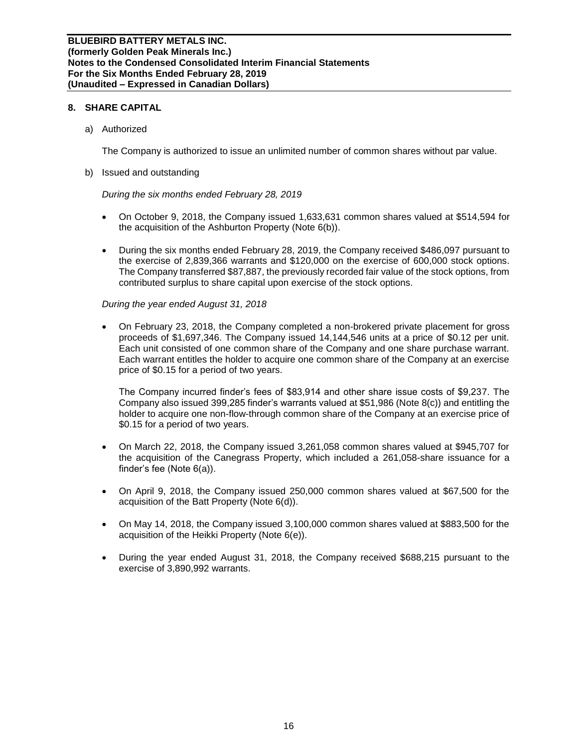#### **8. SHARE CAPITAL**

a) Authorized

The Company is authorized to issue an unlimited number of common shares without par value.

b) Issued and outstanding

*During the six months ended February 28, 2019*

- On October 9, 2018, the Company issued 1,633,631 common shares valued at \$514,594 for the acquisition of the Ashburton Property (Note 6(b)).
- During the six months ended February 28, 2019, the Company received \$486,097 pursuant to the exercise of 2,839,366 warrants and \$120,000 on the exercise of 600,000 stock options. The Company transferred \$87,887, the previously recorded fair value of the stock options, from contributed surplus to share capital upon exercise of the stock options.

#### *During the year ended August 31, 2018*

• On February 23, 2018, the Company completed a non-brokered private placement for gross proceeds of \$1,697,346. The Company issued 14,144,546 units at a price of \$0.12 per unit. Each unit consisted of one common share of the Company and one share purchase warrant. Each warrant entitles the holder to acquire one common share of the Company at an exercise price of \$0.15 for a period of two years.

The Company incurred finder's fees of \$83,914 and other share issue costs of \$9,237. The Company also issued 399,285 finder's warrants valued at \$51,986 (Note 8(c)) and entitling the holder to acquire one non-flow-through common share of the Company at an exercise price of \$0.15 for a period of two years.

- On March 22, 2018, the Company issued 3,261,058 common shares valued at \$945,707 for the acquisition of the Canegrass Property, which included a 261,058-share issuance for a finder's fee (Note 6(a)).
- On April 9, 2018, the Company issued 250,000 common shares valued at \$67,500 for the acquisition of the Batt Property (Note 6(d)).
- On May 14, 2018, the Company issued 3,100,000 common shares valued at \$883,500 for the acquisition of the Heikki Property (Note 6(e)).
- During the year ended August 31, 2018, the Company received \$688,215 pursuant to the exercise of 3,890,992 warrants.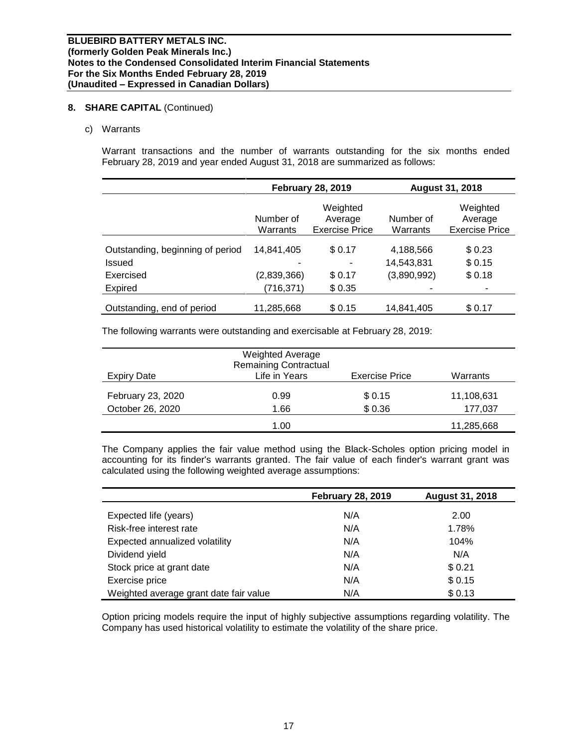#### **8. SHARE CAPITAL** (Continued)

#### c) Warrants

Warrant transactions and the number of warrants outstanding for the six months ended February 28, 2019 and year ended August 31, 2018 are summarized as follows:

|                                  |                       | <b>February 28, 2019</b>                     | <b>August 31, 2018</b>    |                                              |  |
|----------------------------------|-----------------------|----------------------------------------------|---------------------------|----------------------------------------------|--|
|                                  | Number of<br>Warrants | Weighted<br>Average<br><b>Exercise Price</b> | Number of<br>Warrants     | Weighted<br>Average<br><b>Exercise Price</b> |  |
| Outstanding, beginning of period | 14.841.405            | \$0.17                                       | 4,188,566                 | \$0.23                                       |  |
| Issued<br>Exercised              | (2,839,366)           | \$0.17                                       | 14,543,831<br>(3,890,992) | \$0.15<br>\$0.18                             |  |
| <b>Expired</b>                   | (716,371)             | \$0.35                                       |                           | -                                            |  |
| Outstanding, end of period       | 11,285,668            | \$0.15                                       | 14,841,405                | \$0.17                                       |  |

The following warrants were outstanding and exercisable at February 28, 2019:

|                                       | <b>Weighted Average</b><br><b>Remaining Contractual</b> |                       |                       |
|---------------------------------------|---------------------------------------------------------|-----------------------|-----------------------|
| Expiry Date                           | Life in Years                                           | <b>Exercise Price</b> | Warrants              |
| February 23, 2020<br>October 26, 2020 | 0.99<br>1.66                                            | \$ 0.15<br>\$0.36     | 11,108,631<br>177,037 |
|                                       | 1.00                                                    |                       | 11,285,668            |

The Company applies the fair value method using the Black-Scholes option pricing model in accounting for its finder's warrants granted. The fair value of each finder's warrant grant was calculated using the following weighted average assumptions:

|                                        | <b>February 28, 2019</b> | <b>August 31, 2018</b> |
|----------------------------------------|--------------------------|------------------------|
| Expected life (years)                  | N/A                      | 2.00                   |
| Risk-free interest rate                | N/A                      | 1.78%                  |
| Expected annualized volatility         | N/A                      | 104%                   |
| Dividend yield                         | N/A                      | N/A                    |
| Stock price at grant date              | N/A                      | \$0.21                 |
| Exercise price                         | N/A                      | \$0.15                 |
| Weighted average grant date fair value | N/A                      | \$0.13                 |

Option pricing models require the input of highly subjective assumptions regarding volatility. The Company has used historical volatility to estimate the volatility of the share price.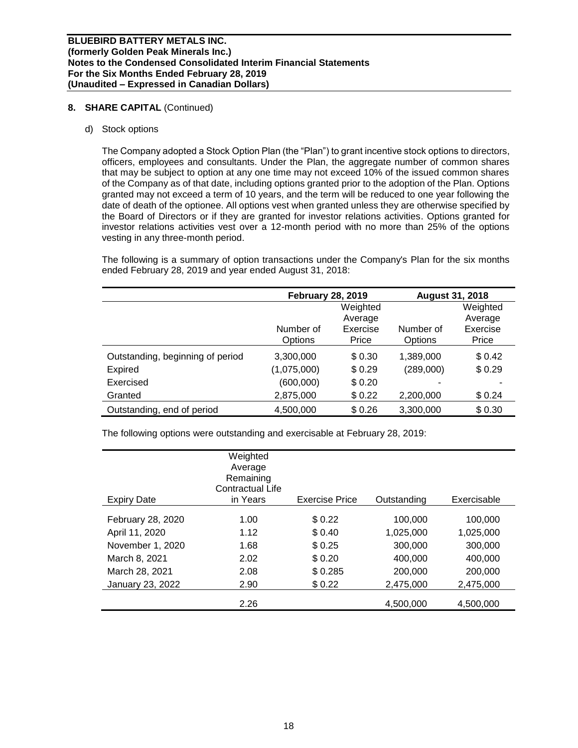#### **8. SHARE CAPITAL** (Continued)

#### d) Stock options

The Company adopted a Stock Option Plan (the "Plan") to grant incentive stock options to directors, officers, employees and consultants. Under the Plan, the aggregate number of common shares that may be subject to option at any one time may not exceed 10% of the issued common shares of the Company as of that date, including options granted prior to the adoption of the Plan. Options granted may not exceed a term of 10 years, and the term will be reduced to one year following the date of death of the optionee. All options vest when granted unless they are otherwise specified by the Board of Directors or if they are granted for investor relations activities. Options granted for investor relations activities vest over a 12-month period with no more than 25% of the options vesting in any three-month period.

The following is a summary of option transactions under the Company's Plan for the six months ended February 28, 2019 and year ended August 31, 2018:

|                                  | <b>February 28, 2019</b> |          | <b>August 31, 2018</b> |          |
|----------------------------------|--------------------------|----------|------------------------|----------|
|                                  |                          | Weighted |                        | Weighted |
|                                  |                          | Average  |                        | Average  |
|                                  | Number of                | Exercise | Number of              | Exercise |
|                                  | Options                  | Price    | Options                | Price    |
| Outstanding, beginning of period | 3,300,000                | \$0.30   | 1,389,000              | \$0.42   |
| Expired                          | (1,075,000)              | \$0.29   | (289,000)              | \$0.29   |
| Exercised                        | (600,000)                | \$0.20   |                        |          |
| Granted                          | 2,875,000                | \$0.22   | 2,200,000              | \$0.24   |
| Outstanding, end of period       | 4,500,000                | \$0.26   | 3,300,000              | \$0.30   |

The following options were outstanding and exercisable at February 28, 2019:

| <b>Expiry Date</b> | Weighted<br>Average<br>Remaining<br>Contractual Life<br>in Years | <b>Exercise Price</b> | Outstanding | Exercisable |
|--------------------|------------------------------------------------------------------|-----------------------|-------------|-------------|
| February 28, 2020  | 1.00                                                             | \$0.22                | 100,000     | 100.000     |
| April 11, 2020     | 1.12                                                             | \$ 0.40               | 1,025,000   | 1,025,000   |
| November 1, 2020   | 1.68                                                             | \$0.25                | 300,000     | 300,000     |
| March 8, 2021      | 2.02                                                             | \$0.20                | 400,000     | 400.000     |
| March 28, 2021     | 2.08                                                             | \$0.285               | 200,000     | 200,000     |
| January 23, 2022   | 2.90                                                             | \$0.22                | 2,475,000   | 2,475,000   |
|                    | 2.26                                                             |                       | 4,500,000   | 4,500,000   |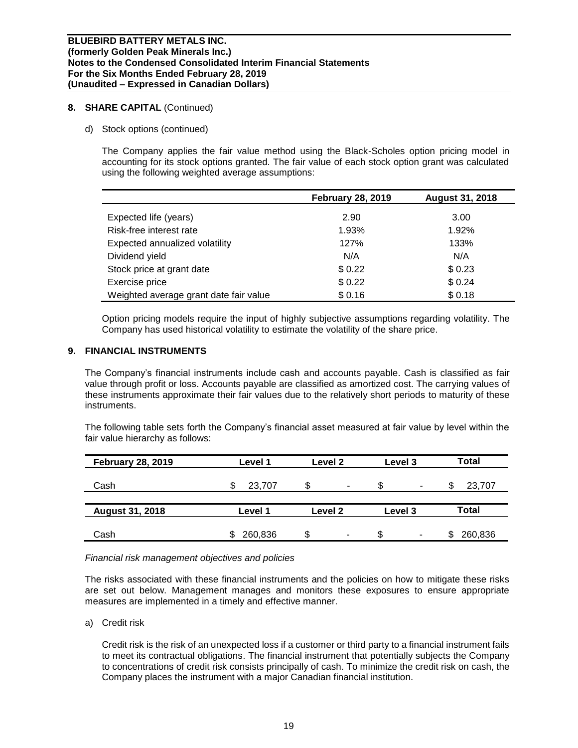#### **8. SHARE CAPITAL** (Continued)

d) Stock options (continued)

The Company applies the fair value method using the Black-Scholes option pricing model in accounting for its stock options granted. The fair value of each stock option grant was calculated using the following weighted average assumptions:

|                                        | <b>February 28, 2019</b> | <b>August 31, 2018</b> |
|----------------------------------------|--------------------------|------------------------|
| Expected life (years)                  | 2.90                     | 3.00                   |
| Risk-free interest rate                | 1.93%                    | 1.92%                  |
|                                        |                          |                        |
| Expected annualized volatility         | 127%                     | 133%                   |
| Dividend yield                         | N/A                      | N/A                    |
| Stock price at grant date              | \$0.22                   | \$0.23                 |
| Exercise price                         | \$0.22                   | \$0.24                 |
| Weighted average grant date fair value | \$0.16                   | \$0.18                 |

Option pricing models require the input of highly subjective assumptions regarding volatility. The Company has used historical volatility to estimate the volatility of the share price.

## **9. FINANCIAL INSTRUMENTS**

The Company's financial instruments include cash and accounts payable. Cash is classified as fair value through profit or loss. Accounts payable are classified as amortized cost. The carrying values of these instruments approximate their fair values due to the relatively short periods to maturity of these instruments.

The following table sets forth the Company's financial asset measured at fair value by level within the fair value hierarchy as follows:

| <b>February 28, 2019</b> | Level 1 | Level 2 | Level 3 | Total        |
|--------------------------|---------|---------|---------|--------------|
| Cash                     | 23,707  | ۰       | \$<br>۰ | 23,707<br>S  |
| <b>August 31, 2018</b>   | Level 1 | Level 2 | Level 3 | Total        |
| Cash                     | 260,836 | \$<br>۰ | \$<br>- | 260,836<br>S |

#### *Financial risk management objectives and policies*

The risks associated with these financial instruments and the policies on how to mitigate these risks are set out below. Management manages and monitors these exposures to ensure appropriate measures are implemented in a timely and effective manner.

a) Credit risk

Credit risk is the risk of an unexpected loss if a customer or third party to a financial instrument fails to meet its contractual obligations. The financial instrument that potentially subjects the Company to concentrations of credit risk consists principally of cash. To minimize the credit risk on cash, the Company places the instrument with a major Canadian financial institution.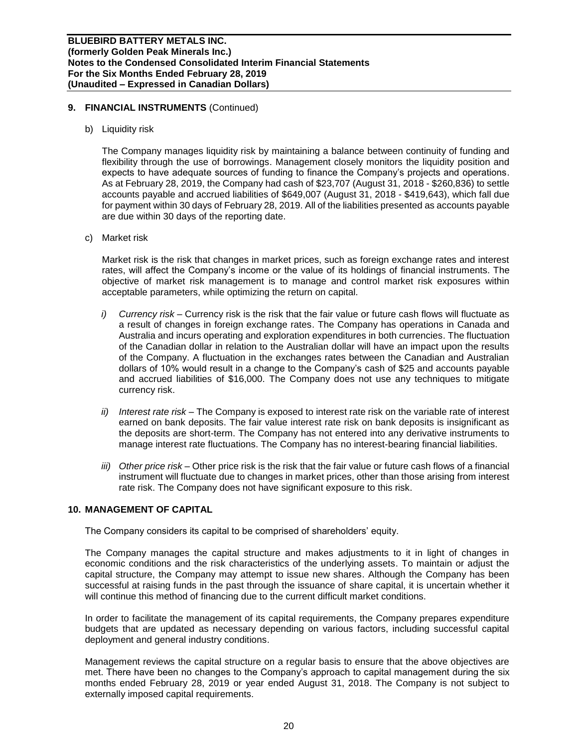#### **9. FINANCIAL INSTRUMENTS** (Continued)

b) Liquidity risk

The Company manages liquidity risk by maintaining a balance between continuity of funding and flexibility through the use of borrowings. Management closely monitors the liquidity position and expects to have adequate sources of funding to finance the Company's projects and operations. As at February 28, 2019, the Company had cash of \$23,707 (August 31, 2018 - \$260,836) to settle accounts payable and accrued liabilities of \$649,007 (August 31, 2018 - \$419,643), which fall due for payment within 30 days of February 28, 2019. All of the liabilities presented as accounts payable are due within 30 days of the reporting date.

c) Market risk

Market risk is the risk that changes in market prices, such as foreign exchange rates and interest rates, will affect the Company's income or the value of its holdings of financial instruments. The objective of market risk management is to manage and control market risk exposures within acceptable parameters, while optimizing the return on capital.

- *i) Currency risk –* Currency risk is the risk that the fair value or future cash flows will fluctuate as a result of changes in foreign exchange rates. The Company has operations in Canada and Australia and incurs operating and exploration expenditures in both currencies. The fluctuation of the Canadian dollar in relation to the Australian dollar will have an impact upon the results of the Company. A fluctuation in the exchanges rates between the Canadian and Australian dollars of 10% would result in a change to the Company's cash of \$25 and accounts payable and accrued liabilities of \$16,000. The Company does not use any techniques to mitigate currency risk.
- *ii) Interest rate risk –* The Company is exposed to interest rate risk on the variable rate of interest earned on bank deposits. The fair value interest rate risk on bank deposits is insignificant as the deposits are short-term. The Company has not entered into any derivative instruments to manage interest rate fluctuations. The Company has no interest-bearing financial liabilities.
- *iii) Other price risk –* Other price risk is the risk that the fair value or future cash flows of a financial instrument will fluctuate due to changes in market prices, other than those arising from interest rate risk. The Company does not have significant exposure to this risk.

## **10. MANAGEMENT OF CAPITAL**

The Company considers its capital to be comprised of shareholders' equity.

The Company manages the capital structure and makes adjustments to it in light of changes in economic conditions and the risk characteristics of the underlying assets. To maintain or adjust the capital structure, the Company may attempt to issue new shares. Although the Company has been successful at raising funds in the past through the issuance of share capital, it is uncertain whether it will continue this method of financing due to the current difficult market conditions.

In order to facilitate the management of its capital requirements, the Company prepares expenditure budgets that are updated as necessary depending on various factors, including successful capital deployment and general industry conditions.

Management reviews the capital structure on a regular basis to ensure that the above objectives are met. There have been no changes to the Company's approach to capital management during the six months ended February 28, 2019 or year ended August 31, 2018. The Company is not subject to externally imposed capital requirements.